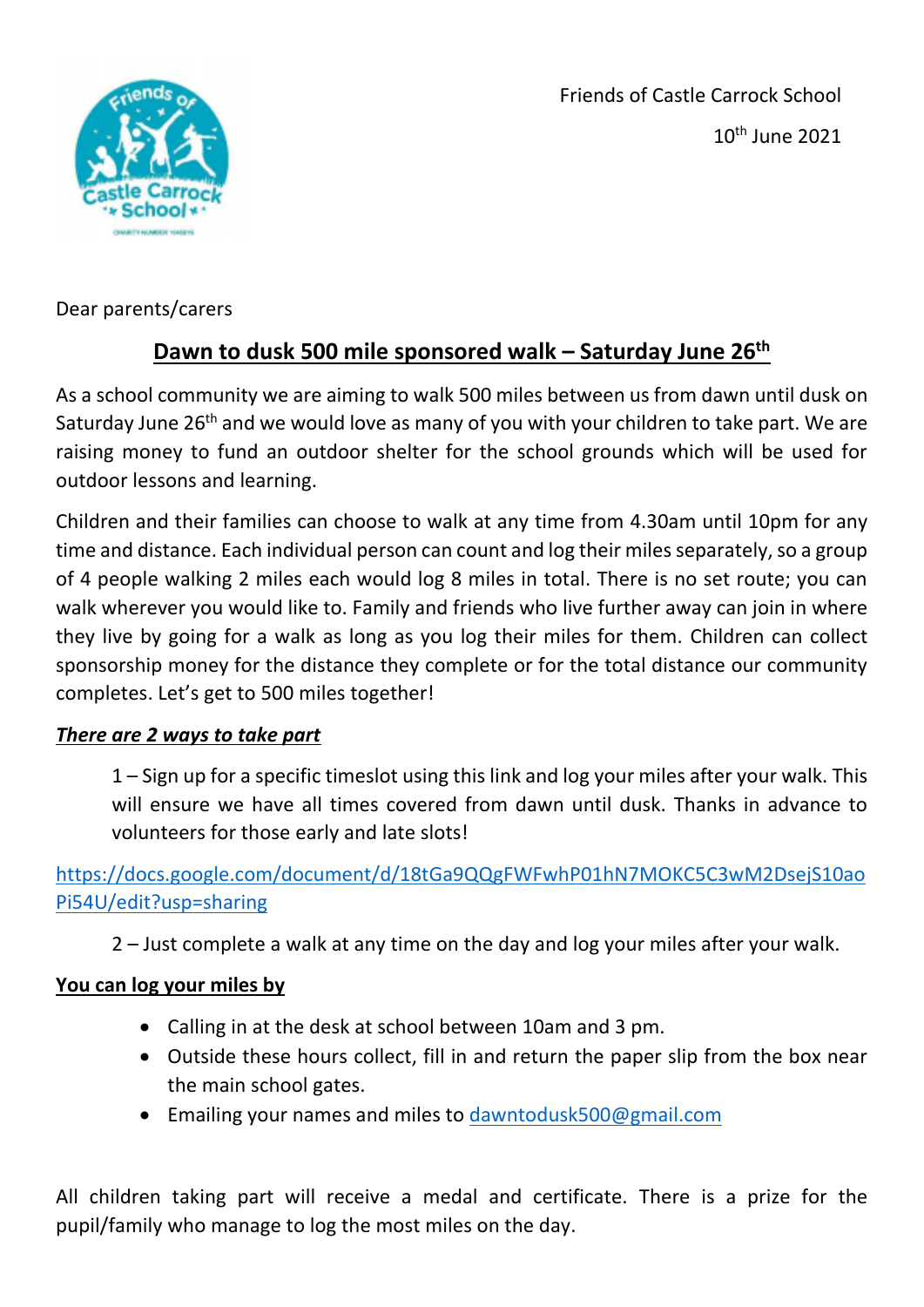



Dear parents/carers

## **Dawn to dusk 500 mile sponsored walk – Saturday June 26th**

As a school community we are aiming to walk 500 miles between us from dawn until dusk on Saturday June 26<sup>th</sup> and we would love as many of you with your children to take part. We are raising money to fund an outdoor shelter for the school grounds which will be used for outdoor lessons and learning.

Children and their families can choose to walk at any time from 4.30am until 10pm for any time and distance. Each individual person can count and log their miles separately, so a group of 4 people walking 2 miles each would log 8 miles in total. There is no set route; you can walk wherever you would like to. Family and friends who live further away can join in where they live by going for a walk as long as you log their miles for them. Children can collect sponsorship money for the distance they complete or for the total distance our community completes. Let's get to 500 miles together!

## *There are 2 ways to take part*

1 – Sign up for a specific timeslot using this link and log your miles after your walk. This will ensure we have all times covered from dawn until dusk. Thanks in advance to volunteers for those early and late slots!

[https://docs.google.com/document/d/18tGa9QQgFWFwhP01hN7MOKC5C3wM2DsejS10ao](https://docs.google.com/document/d/18tGa9QQgFWFwhP01hN7MOKC5C3wM2DsejS10aoPi54U/edit?usp=sharing) [Pi54U/edit?usp=sharing](https://docs.google.com/document/d/18tGa9QQgFWFwhP01hN7MOKC5C3wM2DsejS10aoPi54U/edit?usp=sharing) 

2 – Just complete a walk at any time on the day and log your miles after your walk.

## **You can log your miles by**

- Calling in at the desk at school between 10am and 3 pm.
- Outside these hours collect, fill in and return the paper slip from the box near the main school gates.
- Emailing your names and miles to [dawntodusk500@gmail.com](mailto:dawntodusk500@gmail.com)

All children taking part will receive a medal and certificate. There is a prize for the pupil/family who manage to log the most miles on the day.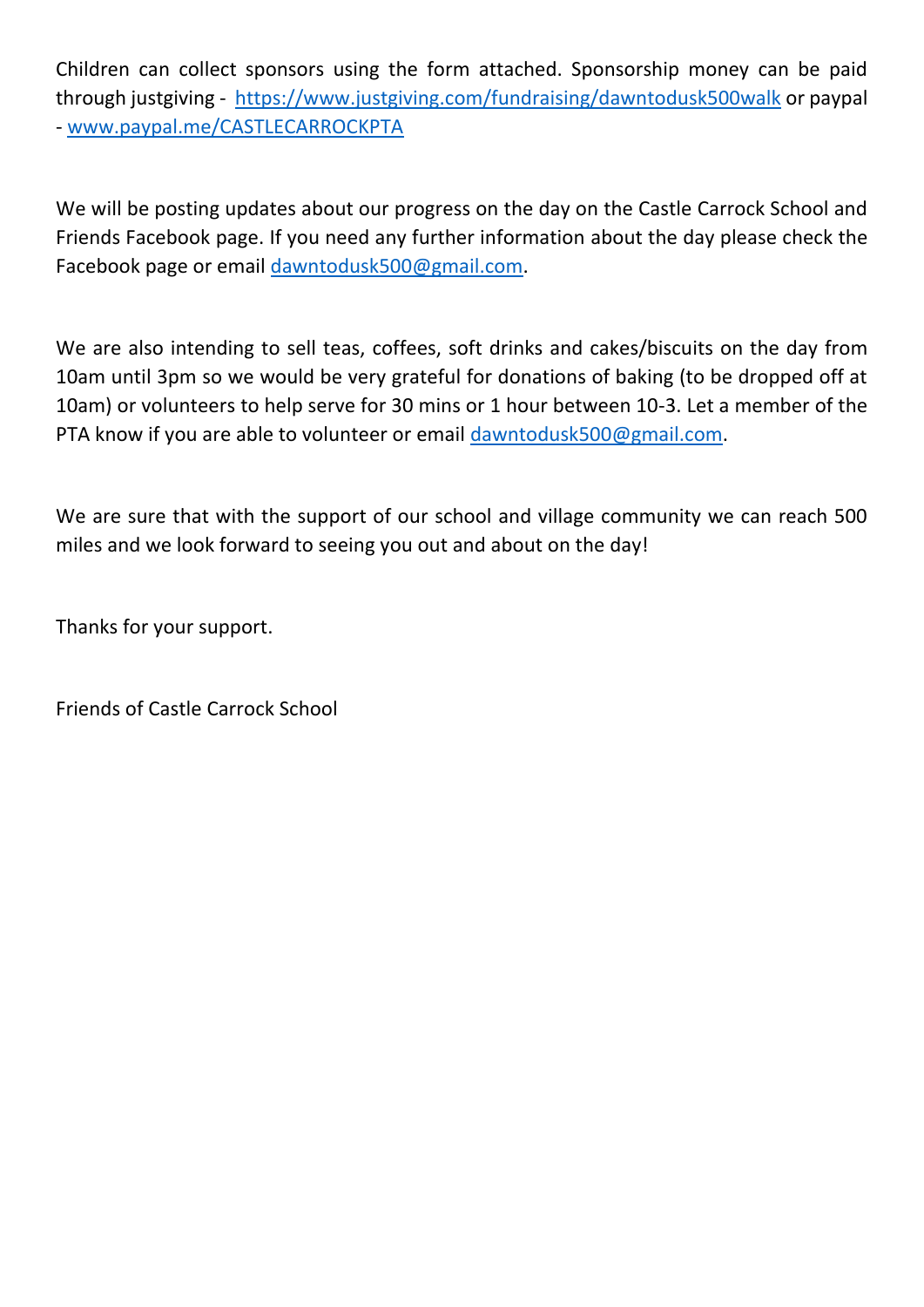Children can collect sponsors using the form attached. Sponsorship money can be paid through justgiving - <https://www.justgiving.com/fundraising/dawntodusk500walk> or paypal - [www.paypal.me/CASTLECARROCKPTA](http://www.paypal.me/CASTLECARROCKPTA)

We will be posting updates about our progress on the day on the Castle Carrock School and Friends Facebook page. If you need any further information about the day please check the Facebook page or email [dawntodusk500@gmail.com.](mailto:dawntodusk500@gmail.com)

We are also intending to sell teas, coffees, soft drinks and cakes/biscuits on the day from 10am until 3pm so we would be very grateful for donations of baking (to be dropped off at 10am) or volunteers to help serve for 30 mins or 1 hour between 10-3. Let a member of the PTA know if you are able to volunteer or email [dawntodusk500@gmail.com.](mailto:dawntodusk500@gmail.com)

We are sure that with the support of our school and village community we can reach 500 miles and we look forward to seeing you out and about on the day!

Thanks for your support.

Friends of Castle Carrock School